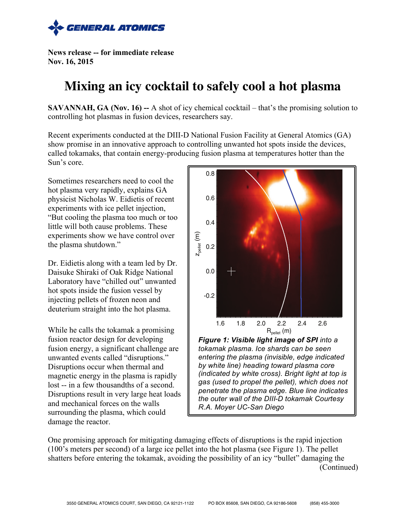

**News release -- for immediate release Nov. 16, 2015**

## **Mixing an icy cocktail to safely cool a hot plasma**

**SAVANNAH, GA (Nov. 16) --** A shot of icy chemical cocktail – that's the promising solution to controlling hot plasmas in fusion devices, researchers say.

Recent experiments conducted at the DIII-D National Fusion Facility at General Atomics (GA) show promise in an innovative approach to controlling unwanted hot spots inside the devices, called tokamaks, that contain energy-producing fusion plasma at temperatures hotter than the Sun's core.

Sometimes researchers need to cool the hot plasma very rapidly, explains GA physicist Nicholas W. Eidietis of recent experiments with ice pellet injection, "But cooling the plasma too much or too little will both cause problems. These experiments show we have control over the plasma shutdown."

Dr. Eidietis along with a team led by Dr. Daisuke Shiraki of Oak Ridge National Laboratory have "chilled out" unwanted hot spots inside the fusion vessel by injecting pellets of frozen neon and deuterium straight into the hot plasma.

While he calls the tokamak a promising fusion reactor design for developing fusion energy, a significant challenge are unwanted events called "disruptions." Disruptions occur when thermal and magnetic energy in the plasma is rapidly lost -- in a few thousandths of a second. Disruptions result in very large heat loads and mechanical forces on the walls surrounding the plasma, which could damage the reactor.



*entering the plasma (invisible, edge indicated by white line) heading toward plasma core (indicated by white cross). Bright light at top is gas (used to propel the pellet), which does not penetrate the plasma edge. Blue line indicates the outer wall of the DIII-D tokamak Courtesy R.A. Moyer UC-San Diego*

One promising approach for mitigating damaging effects of disruptions is the rapid injection (100's meters per second) of a large ice pellet into the hot plasma (see Figure 1). The pellet shatters before entering the tokamak, avoiding the possibility of an icy "bullet" damaging the (Continued)

**.**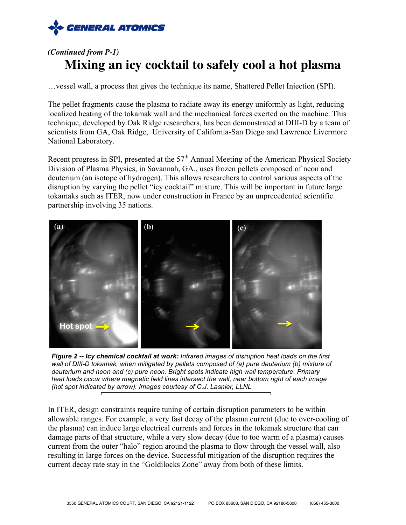

## *(Continued from P-1)* **Mixing an icy cocktail to safely cool a hot plasma**

…vessel wall, a process that gives the technique its name, Shattered Pellet Injection (SPI).

The pellet fragments cause the plasma to radiate away its energy uniformly as light, reducing localized heating of the tokamak wall and the mechanical forces exerted on the machine. This technique, developed by Oak Ridge researchers, has been demonstrated at DIII-D by a team of scientists from GA, Oak Ridge, University of California-San Diego and Lawrence Livermore National Laboratory.

Recent progress in SPI, presented at the  $57<sup>th</sup>$  Annual Meeting of the American Physical Society Division of Plasma Physics, in Savannah, GA., uses frozen pellets composed of neon and deuterium (an isotope of hydrogen). This allows researchers to control various aspects of the disruption by varying the pellet "icy cocktail" mixture. This will be important in future large tokamaks such as ITER, now under construction in France by an unprecedented scientific partnership involving 35 nations.



*Figure 2 -- Icy chemical cocktail at work: Infrared images of disruption heat loads on the first wall of DIII-D tokamak, when mitigated by pellets composed of (a) pure deuterium (b) mixture of deuterium and neon and (c) pure neon. Bright spots indicate high wall temperature. Primary heat loads occur where magnetic field lines intersect the wall, near bottom right of each image (hot spot indicated by arrow). Images courtesy of C.J. Lasnier, LLNL*

In ITER, design constraints require tuning of certain disruption parameters to be within allowable ranges. For example, a very fast decay of the plasma current (due to over-cooling of the plasma) can induce large electrical currents and forces in the tokamak structure that can damage parts of that structure, while a very slow decay (due to too warm of a plasma) causes current from the outer "halo" region around the plasma to flow through the vessel wall, also resulting in large forces on the device. Successful mitigation of the disruption requires the current decay rate stay in the "Goldilocks Zone" away from both of these limits.